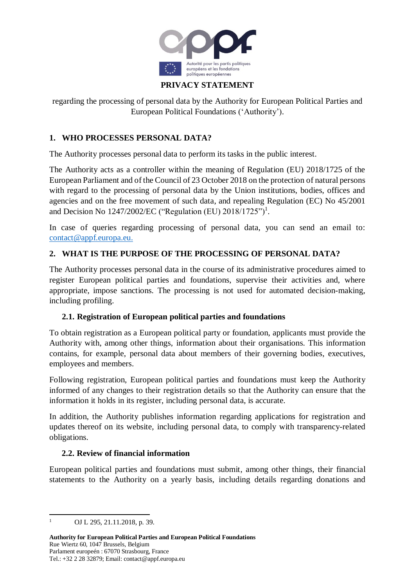

# **PRIVACY STATEMENT**

regarding the processing of personal data by the Authority for European Political Parties and European Political Foundations ('Authority').

### **1. WHO PROCESSES PERSONAL DATA?**

The Authority processes personal data to perform its tasks in the public interest.

The Authority acts as a controller within the meaning of Regulation (EU) 2018/1725 of the European Parliament and of the Council of 23 October 2018 on the protection of natural persons with regard to the processing of personal data by the Union institutions, bodies, offices and agencies and on the free movement of such data, and repealing Regulation (EC) No 45/2001 and Decision No 1247/2002/EC ("Regulation (EU) 2018/1725")<sup>1</sup>.

In case of queries regarding processing of personal data, you can send an email to: [contact@appf.europa.eu.](mailto:contact@appf.europa.eu)

### **2. WHAT IS THE PURPOSE OF THE PROCESSING OF PERSONAL DATA?**

The Authority processes personal data in the course of its administrative procedures aimed to register European political parties and foundations, supervise their activities and, where appropriate, impose sanctions. The processing is not used for automated decision-making, including profiling.

#### **2.1. Registration of European political parties and foundations**

To obtain registration as a European political party or foundation, applicants must provide the Authority with, among other things, information about their organisations. This information contains, for example, personal data about members of their governing bodies, executives, employees and members.

Following registration, European political parties and foundations must keep the Authority informed of any changes to their registration details so that the Authority can ensure that the information it holds in its register, including personal data, is accurate.

In addition, the Authority publishes information regarding applications for registration and updates thereof on its website, including personal data, to comply with transparency-related obligations.

#### **2.2. Review of financial information**

European political parties and foundations must submit, among other things, their financial statements to the Authority on a yearly basis, including details regarding donations and

 $\mathbf{1}$ OJ L 295, 21.11.2018, p. 39.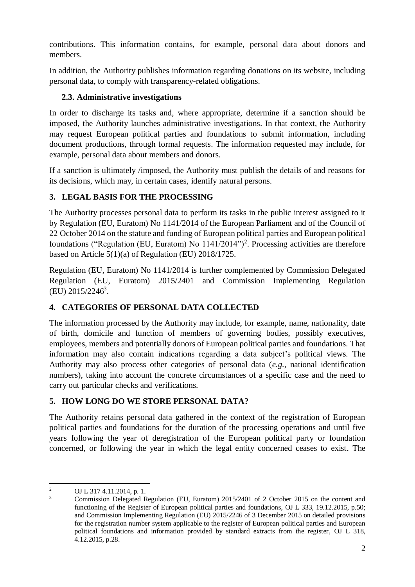contributions. This information contains, for example, personal data about donors and members.

In addition, the Authority publishes information regarding donations on its website, including personal data, to comply with transparency-related obligations.

## **2.3. Administrative investigations**

In order to discharge its tasks and, where appropriate, determine if a sanction should be imposed, the Authority launches administrative investigations. In that context, the Authority may request European political parties and foundations to submit information, including document productions, through formal requests. The information requested may include, for example, personal data about members and donors.

If a sanction is ultimately /imposed, the Authority must publish the details of and reasons for its decisions, which may, in certain cases, identify natural persons.

# **3. LEGAL BASIS FOR THE PROCESSING**

The Authority processes personal data to perform its tasks in the public interest assigned to it by Regulation (EU, Euratom) No 1141/2014 of the European Parliament and of the Council of 22 October 2014 on the statute and funding of European political parties and European political foundations ("Regulation (EU, Euratom) No 1141/2014")<sup>2</sup>. Processing activities are therefore based on Article 5(1)(a) of Regulation (EU) 2018/1725.

Regulation (EU, Euratom) No 1141/2014 is further complemented by Commission Delegated Regulation (EU, Euratom) 2015/2401 and Commission Implementing Regulation  $(EU)$  2015/2246<sup>3</sup>.

# **4. CATEGORIES OF PERSONAL DATA COLLECTED**

The information processed by the Authority may include, for example, name, nationality, date of birth, domicile and function of members of governing bodies, possibly executives, employees, members and potentially donors of European political parties and foundations. That information may also contain indications regarding a data subject's political views. The Authority may also process other categories of personal data (*e.g.*, national identification numbers), taking into account the concrete circumstances of a specific case and the need to carry out particular checks and verifications.

# **5. HOW LONG DO WE STORE PERSONAL DATA?**

The Authority retains personal data gathered in the context of the registration of European political parties and foundations for the duration of the processing operations and until five years following the year of deregistration of the European political party or foundation concerned, or following the year in which the legal entity concerned ceases to exist. The

**<sup>.</sup>** <sup>2</sup> OJ L 317 4.11.2014, p. 1.

<sup>3</sup> Commission Delegated Regulation (EU, Euratom) 2015/2401 of 2 October 2015 on the content and functioning of the Register of European political parties and foundations, OJ L 333, 19.12.2015, p.50; and Commission Implementing Regulation (EU) 2015/2246 of 3 December 2015 on detailed provisions for the registration number system applicable to the register of European political parties and European political foundations and information provided by standard extracts from the register, OJ L 318, 4.12.2015, p.28.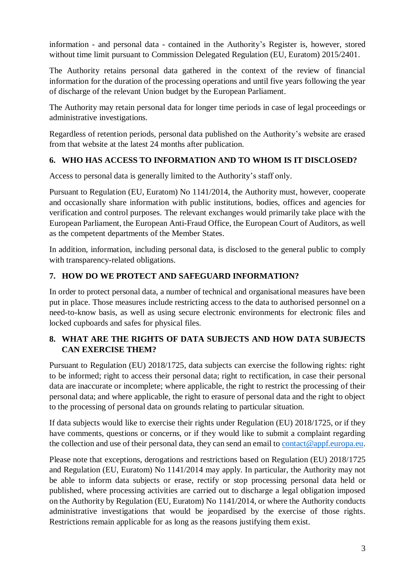information - and personal data - contained in the Authority's Register is, however, stored without time limit pursuant to Commission Delegated Regulation (EU, Euratom) 2015/2401.

The Authority retains personal data gathered in the context of the review of financial information for the duration of the processing operations and until five years following the year of discharge of the relevant Union budget by the European Parliament.

The Authority may retain personal data for longer time periods in case of legal proceedings or administrative investigations.

Regardless of retention periods, personal data published on the Authority's website are erased from that website at the latest 24 months after publication.

## **6. WHO HAS ACCESS TO INFORMATION AND TO WHOM IS IT DISCLOSED?**

Access to personal data is generally limited to the Authority's staff only.

Pursuant to Regulation (EU, Euratom) No 1141/2014, the Authority must, however, cooperate and occasionally share information with public institutions, bodies, offices and agencies for verification and control purposes. The relevant exchanges would primarily take place with the European Parliament, the European Anti-Fraud Office, the European Court of Auditors, as well as the competent departments of the Member States.

In addition, information, including personal data, is disclosed to the general public to comply with transparency-related obligations.

## **7. HOW DO WE PROTECT AND SAFEGUARD INFORMATION?**

In order to protect personal data, a number of technical and organisational measures have been put in place. Those measures include restricting access to the data to authorised personnel on a need-to-know basis, as well as using secure electronic environments for electronic files and locked cupboards and safes for physical files.

## **8. WHAT ARE THE RIGHTS OF DATA SUBJECTS AND HOW DATA SUBJECTS CAN EXERCISE THEM?**

Pursuant to Regulation (EU) 2018/1725, data subjects can exercise the following rights: right to be informed; right to access their personal data; right to rectification, in case their personal data are inaccurate or incomplete; where applicable, the right to restrict the processing of their personal data; and where applicable, the right to erasure of personal data and the right to object to the processing of personal data on grounds relating to particular situation.

If data subjects would like to exercise their rights under Regulation (EU) 2018/1725, or if they have comments, questions or concerns, or if they would like to submit a complaint regarding the collection and use of their personal data, they can send an email to [contact@appf.europa.eu.](mailto:contact@appf.europa.eu)

Please note that exceptions, derogations and restrictions based on Regulation (EU) 2018/1725 and Regulation (EU, Euratom) No 1141/2014 may apply. In particular, the Authority may not be able to inform data subjects or erase, rectify or stop processing personal data held or published, where processing activities are carried out to discharge a legal obligation imposed on the Authority by Regulation (EU, Euratom) No 1141/2014, or where the Authority conducts administrative investigations that would be jeopardised by the exercise of those rights. Restrictions remain applicable for as long as the reasons justifying them exist.